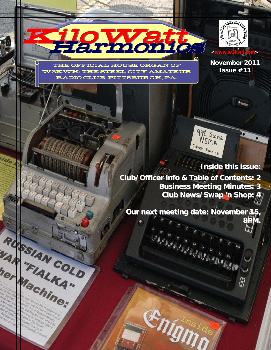**FICIAL HOUSE ORGAN OF** W3KWH: THE STEEL CITY AMATEUR RADIO CLUB, PITTSBURGH, PA.

Harmonics Harmonics

KiloWatt KiloWatt

RUSSIAN COLD

VAR "FIALKA"

Machine;



**November 2011 Issue #11** 



**Ay** 

1948 Swiss NEMA Cipher Machine

**Club/Officer info & Table of Contents: 2 Business Meeting Minutes: 3 Club News/Swap 'n Shop: 4 Club News/Swap 'n Shop: 4**

**Our next meeting date: November 15 8PM.** 

**Engine**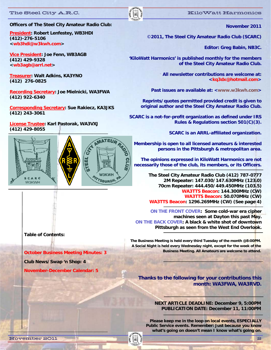**(412)-276-5106** 

**(412) 429-9328 <wb3agb@arrl.net>** 

**(412) 276-0825** 

**(412) 922-6340** 

**(412) 243-3061** 

**(412) 429-8055** 

CARC **W3KWH** 

**<wb3hdi@w3kwh.com>** 

**November 2011** 

©**2011, The Steel City Amateur Radio Club (SCARC)** 

**Editor: Greg Babin, NB3C.** 

**'KiloWatt Harmonics' is published monthly for the members of the Steel City Amateur Radio Club.** 

> **All newsletter contributions are welcome at: <kq3dx@hotmail.com>**

Past issues are available at: <www.w3kwh.com>

**Reprints/quotes permitted provided credit is given to original author and the Steel City Amateur Radio Club.** 

**SCARC is a not-for-profit organization as defined under IRS Rules & Regulations section 501(C)(3).** 

**SCARC is an ARRL-affiliated organization.** 

**Membership is open to all licensed amateurs & interested persons in the Pittsburgh & metropolitan area.** 

**The opinions expressed in KiloWatt Harmonics are not necessarily those of the club, its members, or its Officers.**

> **The Steel City Amateur Radio Club (412) 787-0777 2M Repeater: 147.030/147.630MHz (123.0) 70cm Repeater: 444.450/449.450MHz (103.5) WA3TTS Beacon: 144.300MHz (CW) WA3TTS Beacon: 50.070MHz (CW) WA3TTS Beacon: 1296.269MHz (CW) (See page 4)**

**ON THE FRONT COVER: Some cold-war era cipher machines seen at Dayton this past May. ON THE BACK COVER: A black & white shot of downtown Pittsburgh as seen from the West End Overlook.** 

**The Business Meeting is held every third Tuesday of the month @8:00PM. A Social Night is held every Wednesday night, except for the week of the Business Meeting. All Amateurs are welcome to attend.** 

**Thanks to the following for your contributions this month: WA3FWA, WA3RVD.** 

> **NEXT ARTICLE DEADLINE: December 9, 5:00PM PUBLICATION DATE: December 11, 11:00PM**

**Please keep me in the loop on local events, ESPECIALLY Public Service events. Remember: Just because you know what's going on doesn't mean I know what's going on.** 

**Table of Contents:** 

**October Business Meeting Minutes: 3** 

**Club News/Swap 'n Shop: 4** 

**November-December Calendar: 5** 

#### November 2011 2





### The Steel City A.R.C. **Executive Steel City A.R.C.** And  $\|\cdot\|$

**President: Robert Lenfestey, WB3HDI** 

**Vice President: Joe Fenn, WB3AGB** 

**Treasurer: Walt Adkins, KA3YNO** 

**Officers of The Steel City Amateur Radio Club:** 

**Recording Secretary: Joe Mielnicki, WA3FWA** 

**Corresponding Secretary: Sue Rakiecz, KA3JKS** 

**License Trustee: Karl Pastorak, WA3VXJ**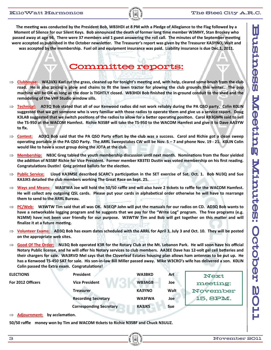The meeting was conducted by the President Bob, WB3HDI at 8 PM with a Pledge of Allegiance to the Flag followed by a **Moment of Silence for our Silent Keys. Bob announced the death of former long Ɵme member W3MHY, Stan Broskey who**  passed away at age 96. There were 37 members and 1 guest answering the roll call. The minutes of the September meeting were accepted as published in the October newsletter. The Treasurer's report was given by the Treasurer KA3YNO, Walt and **was accepted by the membership. Fuel oil and equipment insurance was paid. Liability insurance is due Dec.1, 2011.** 

## Committee reports:

- $\Rightarrow$  Clubhouse: WA3VXJ Karl cut the grass, cleaned up for tonight's meeting and, with help, cleared some brush from the club **road. He is also pricing a plow and chains to fit the lawn tractor for plowing the club grounds this winter. The pop machine will be OK as long as the door is TIGHTLY closed. WB3HDI Bob finished the in‐ground conduit to the shed and the remodeling of the VHF Studio window sills.**
- **Technical: AD3Q Bob stated that all of our Kenwood radios did not work reliably during the PA QSO party. Colin K0LIN suggested that we get someone who is very familiar with those radios to operate them and give us a service report. Doug K3LAB suggested that we switch positions of the radios to allow for a better operating position. Carol KB3GMN said to sell the TS‐950 at the WACOM Hamfest. Richie N3SBF will take the TS‐950 to the WACOM Hamfest and give it to Dave AA3YW to fix.**
- $\Rightarrow$  **Contest:** AD3Q Bob said that the PA QSO Party effort by the club was a success. Carol and Richie got a clean sweep **operaƟng portable in the PA QSO Party. The ARRL Sweepstakes CW will be Nov. 5 – 7 and phone Nov. 19 ‐ 21. K0LIN Colin would like to have a scout group doing the JOTA at the club.**
- $\Rightarrow$  **Membership:** NB3C Greg tabled the youth membership discussion until next month. Nominations from the floor yielded **the addiƟon of N3SBF Richie for Vice President. Former member KB3TEI DusƟn was voted membership on his first reading. CongratulaƟons DusƟn! Greg printed ballots for the elecƟon.**
- ⇒ Public Service: Lloyd KA3MSE described SCARC's participation in the SET exercise of Sat. Oct. 1. Bob NU3Q and Sue **KA3JKS detailed the club members working The Great Race on Sept. 25.**
- $\Rightarrow$  Ways and Means: WA3FWA Joe will hold the 50/50 raffle and will also have 2 tickets to raffle for the WACOM Hamfest. He will collect any outgoing QSL cards. Please put your cards in alphabetical order otherwise he will have to rearrange **them to send to the ARRL Bureau.**
- $\Rightarrow$  **PC/Web:** W3WTW Tim said that all was OK. N3EQP John will put the manuals for our radios on CD. AD3Q Bob wants to **have a networkable logging program and he suggests that we pay for the "Write Log" program. The free programs (e.g. N1MM)** have not been user friendly for our purpose. W3WTW Tim and Bob will get together on this matter and will finalize it at a future meeting.
- $\Rightarrow$  Volunteer Exams: AD3Q Bob has exam dates scheduled with the ARRL for April 3, July 3 and Oct. 10. They will be posted **on the appropriate web sites.**
- **Good Of The Order: NU3Q Bob operated K3R for the Rotary Club at the Mt. Lebanon Park. He will soon have his official Notary Public license, and he will offer his Notary services to club members. AA3EE Dave has 12‐volt gel cell baƩeries and their chargers for sale. WA3RVD Mel says that the Cloverleaf Estates housing plan allows ham antennas to be put up. He has a Kenwood TS‐450 SAT for sale. His son‐in‐law Bill Miller passed away. Mike W3CRO's wife has delivered a son. K0LIN Colin passed the Extra exam. Congratulations!**

| <b>ELECTIONS</b>  | <b>President</b>               | <b>WA3BKD</b> | Art  | <b>Next</b> |
|-------------------|--------------------------------|---------------|------|-------------|
| For 2012 Officers | <b>Vice President</b>          | <b>WB3AGB</b> | Joe  | meeting:    |
|                   | <b>Treasurer</b>               | <b>KA3YNO</b> | Walt | November    |
|                   | <b>Recording Secretary</b>     | <b>WA3FWA</b> | Joe  | 15, 8PM.    |
|                   | <b>Corresponding Secretary</b> | <b>KA3JKS</b> | Sue  |             |

 $\Rightarrow$  **Adjournment:** by acclamation.

**50/50 raffle money won by Tim and WACOM Ɵckets to Richie N3SBF and Chuck N3UUZ.**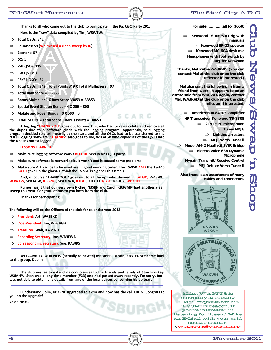Thanks to all who came out to the club to participate in the Pa. QSO Party 201.

- **Here is the "raw" data complied by Tim, W3WTW:**
- **Total QSOs: 342**
- **CounƟes: 59 (We missed a clean sweep by 8.)**
- $\Rightarrow$  **Sections:** 57
- $\Rightarrow$  **DX:1**
- **SSB QSOs: 315**
- $\Rightarrow$  **CW** QSOs: 3
- **PSK31 QSOs: 24**
- $\Rightarrow$  **Total QSOs** = 342 **Total Points 349 X Total Multipliers = 97**
- $\implies$  **Total Raw Score** = **33853**
- **Bonus MulƟplier 1 X Raw Score 33853 = 33853**
- **Special Event StaƟon Bonus = 4 X 200 = 800**
- $\implies$  **Mobile** and **Rover** Bonus =  $\theta$  **X** 500 = 0
- **FINAL SCORE = Total Score + Bonus Points = 34653**

A big, big "THANK YOU" goes out to poor Tim, who had to re-calculate and remove all the dupes due to a software glitch with the logging program. Apparently, said logging the dupes due to a software glitch with the logging program. Apparently, said logging<br>program decided to crash heavily at the start, and all the QSOs had to be transferred to the **N3FJP logging soŌware. "THANKS" also goes to Joe, WB3AGB who copied all of the QSOs into the N3FJP Contest logger.** 

AR.

### **LESSONS LEARNED:**

- $\implies$  **Make** sure logging software works **BEFORE** next year's QSO party.
- **Make** sure software is networkable. It wasn't and it caused some problems.
- Make sure ALL radios to be used are in good working order. The TS-950 AND the TS-140 **BOTH gave up the ghost. (I think the TS‐950 is a goner this Ɵme.)**

 **And, of course "THANK YOU" goes out to all the ops who showed up: AD3Q, WA3VXJ, W3WTW, WB3AGB, KB3PNE, WA3FWA, K3LAB, KB3TEI, NB3C, N3UUZ, WB3HDI.**

 **Rumor has it that our very own Richie, N3SBF and Carol, KB3GMN had another clean sweep this year. CongratulaƟons to you both from the club.**

 **Thanks for parƟcipaƟng.**

**The following will be the Officers of the club for calendar year 2012:**

- **President: Art, WA3BKD**
- **Vice‐President: Joe, WB3AGB**
- **Treasurer: Walt, KA3YNO**
- **Recording Secretary: Joe, WA3FWA**
- **Corresponding Secretary: Sue, KA3JKS**

 **WELCOME TO OUR NEW (actually re‐newed) MEMBER: DusƟn, KB3TEI. Welcome back to the group, DusƟn.**

 **The club wishes to extend its condolences to the friends and family of Stan Broskey,** W3MHY. Stan was a long-time member (#23) and had passed away recently. I'm sorry, but I was not able to obtain any details from any of the local papers concerning his obituary.

 **I understand Colin, KB3PNE upgraded to extra and now has the call K0LIN. Congrats to you on the upgrade!**

**73 de NB3C**

**For sale…………..all for \$650:** 

 **Kenwood TS-450S AT rig with manuals**   $\Rightarrow$  Kenwood SP-23 speaker

 **Kenwood MC-60A desk mic Headphones with foot switch by MFJ for Kenwood** 

**Thanks, Mel Ruble WA3RVD. (You can contact Mel at the club or on the club reflector if interested.)** 

**Mel also sent the following in from a friend from work. It appears to be an estate sale from W8QWU. Again, contact Mel, WA3RVD at the club or on the club reflector if interested.** 

 **Ameritron AL84 R.F. amplifier HF Transceiver Kenwood TS-830S 215 P/PC microphone Tubes 6MJ6 Lighting arresters MFJ Versa Tuner ll Model AM-2 Heathkit SWR Bridge Electro Voice 638 Dynamic** 

**Microphone** 

 **Hygain Transmit/Receive Control MFJ Deluxe Versa Tuner ll** 

**Also there is an assortment of many cables and connectors.** 





 $\mathbf K$ iloWatt Harmonics  $\|\|\|\$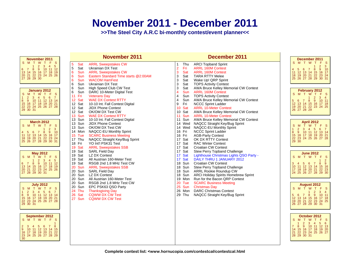# **November 2011 - December 2011**

**>>The Steel City A.R.C bi-monthly contest/event planner<<**

| November 2011                                                                                                                                                                                                                          | <b>November 2011</b>                                                                                                                                                                                                                                                                                                            | December 2011                                                                                                                                                                                                                                                                                                                                                                                                     | December 2011                                                                                                                                                                                                                            |
|----------------------------------------------------------------------------------------------------------------------------------------------------------------------------------------------------------------------------------------|---------------------------------------------------------------------------------------------------------------------------------------------------------------------------------------------------------------------------------------------------------------------------------------------------------------------------------|-------------------------------------------------------------------------------------------------------------------------------------------------------------------------------------------------------------------------------------------------------------------------------------------------------------------------------------------------------------------------------------------------------------------|------------------------------------------------------------------------------------------------------------------------------------------------------------------------------------------------------------------------------------------|
| S M T W T F S<br>1 2 3 4 5<br>8 9 10 11 12<br>6 7<br>13 14 15 16 17 18 19<br>20 21 22 23 24 25 26<br>27 28 29 30                                                                                                                       | 5<br>Sat<br><b>ARRL Sweepstakes CW</b><br>5<br>Sat<br><b>Ukrainian DX Test</b><br>6<br>Sun<br><b>ARRL Sweepstakes CW</b><br>6<br>Sun<br>Eastern Standard Time starts @2:00AM<br>6<br><b>Sun</b><br><b>WACOM HamFest</b><br>6<br>Sun<br><b>Ukrainian DX Test</b>                                                                 | <b>ARCI Topband Sprint</b><br>Thu<br>$\mathbf{1}$<br>$\overline{2}$<br>Fri<br><b>ARRL 160M Contest</b><br>3<br>Sat<br><b>ARRL 160M Contest</b><br>3<br>Sat<br><b>TARA RTTY Melee</b><br>3<br>Sat<br>Wake Up! QRP Sprint<br>3<br>Sat<br><b>TOPS Activity Contest</b>                                                                                                                                               | S M T W T F S<br>$2^{\circ}$<br>$\overline{\mathbf{3}}$<br>4 5 6 7 8 9 10<br>11 12 13 14 15 16 17<br>18 19 20 21 22 23 24<br>25 26 27 28 29 30 31                                                                                        |
| January 2012<br>S M T W T F S<br>1 <sup>1</sup><br>$2 \quad 3 \quad 4$<br>$5\quad 6$<br>$\overline{7}$<br>8 9 10 11 12 13 14<br>15 16 17 18 19 20 21<br>22 23 24 25 26 27 28<br>29 30 31                                               | 6<br>Sun<br>High Speed Club CW Test<br>6<br>Sun<br>DARC 10-Meter Digital Test<br>11<br>Fri<br><b>Veterans Day</b><br>12 Sat<br><b>WAE DX Contest RTTY</b><br>Sat<br>12<br>10-10 Int. Fall Contest Digital<br>12 Sat<br><b>JIDX Phone Contest</b><br>Sat<br>12 <sup>2</sup><br>OK/OM DX Test CW<br>13<br>Sun WAE DX Contest RTTY | 3<br>Sat<br>AWA Bruce Kelley Memorial CW Contest<br>$\overline{4}$<br>Sun<br><b>ARRL 160M Contest</b><br>Sun<br><b>TOPS Activity Contest</b><br>$\overline{4}$<br>$\overline{4}$<br>Sun<br>AWA Bruce Kelley Memorial CW Contest<br>9<br>Fri<br><b>NCCC Sprint Ladder</b><br>10 Sat<br><b>ARRL 10-Meter Contest</b><br>10 Sat<br>AWA Bruce Kelley Memorial CW Contest<br>11<br>Sun<br><b>ARRL 10-Meter Contest</b> | February 2012<br>MTWTFS<br>S.<br>$2 \quad 3 \quad 4$<br>1.<br>8 9 10 11<br>5<br>6<br>$\overline{7}$<br>13 14 15 16 17 18<br>12 <sub>2</sub><br>19 20 21 22 23 24 25<br>26 27 28 29                                                       |
| <b>March 2012</b><br>S M T W T F<br>-S<br>$\overline{2}$<br>3<br>$\mathbf{1}$<br>10<br>4 5 6 7 8 9 10<br>11 12 13 14 15 16 17<br>18 19 20 21 22 23 24<br>25 26 27 28 29 30 31                                                          | 13 Sun 10-10 Int. Fall Contest Digital<br>13 Sun JIDX Phone Contest<br>13 Sun<br>OK/OM DX Test CW<br>14 Mon NAQCC-EU Monthly Sprint<br>15 Tue<br><b>SCARC Business Meeting</b><br>17 Thu<br>NAQCC Straight Key/Bug Sprint<br>18 Fri<br>YO Int'l PSK31 Test<br>Sat<br><b>ARRL Sweepstakes SSB</b>                                | 11 Sun<br>AWA Bruce Kelley Memorial CW Contest<br>14 Wed<br>NAQCC Straight Key/Bug Sprint<br>NAQCC-EU Monthly Sprint<br>14 Wed<br>16 Fri<br><b>NCCC Sprint Ladder</b><br><b>AGB-Party Contest</b><br>16 Fri<br>17 Sat<br>OK DX RTTY Contest<br>17 Sat<br><b>RAC Winter Contest</b><br>17 Sat<br><b>Croatian CW Contest</b>                                                                                        | <b>April 2012</b><br>S M T W T F S<br>1 2 3 4 5 6 7<br>8 9 10 11 12 13 14<br>15 16 17 18 19 20 21<br>22 23 24 25 26 27 28<br>29 30                                                                                                       |
| <b>May 2012</b><br>$\mathbf{s}$<br>SMTWTF<br>3 <sup>2</sup><br>$\overline{4}$<br>5 <sup>5</sup><br>$\overline{2}$<br>$10$ 11 12<br>$8^{\circ}$<br>$9^{\circ}$<br>6 7<br>13 14 15 16 17 18 19<br>20 21 22 23 24 25 26<br>27 28 29 30 31 | 19<br>19 Sat<br><b>SARL Field Day</b><br>Sat<br>19<br>LZ DX Contest<br>Sat<br>19<br>All Austrian 160-Meter Test<br>19<br>Sat<br>RSGB 2nd 1.8 MHz Test CW<br>20<br>Sun ARRL Sweepstakes SSB<br>20<br>Sun<br><b>SARL Field Day</b><br>20<br>Sun<br>LZ DX Contest<br>20<br>Sun<br>All Austrian 160-Meter Test                      | 17 Sat<br>Stew Perry Topband Challenge<br>17 Sat<br>Lighthouse Christmas Lights QSO Party -<br>17 Sat<br>DAILY THRU 1 JANUARY 2012<br>18 Sun<br><b>Croatian CW Contest</b><br>18 Sun<br><b>Stew Perry Topband Challenge</b><br>18 Sun<br>ARRL Rookie Roundup CW<br>18 Sun<br>ARCI Holiday Spirits Homebrew Sprint<br>19 Mon<br>Run for the Bacon QRP Contest                                                      | <b>June 2012</b><br>S M T W T F S<br>$\frac{2}{9}$<br>$\overline{1}$<br>8 <sup>°</sup><br>3<br>56<br>$\overline{7}$<br>4<br>11 12 13 14 15 16<br>10 <sup>°</sup><br>17 18 19 20 21 22 23<br>24 25 26 27 28 29 30                         |
| <b>July 2012</b><br>SMTWTF<br>-S<br>2 <sup>2</sup><br>3 4 5 6 7<br>10 11 12 13 14<br>$\overline{9}$<br>8<br>15 16 17 18 19 20 21<br>22 23 24 25 26 27 28<br>29 30 31                                                                   | 20<br>Sun<br>RSGB 2nd 1.8 MHz Test CW<br>20<br>Sun<br>EPC PSK63 QSO Party<br>24<br>Thu<br><b>Thanksgiving Day</b><br>26<br>Sat<br><b>CQWW DX CW Test</b><br>27 Sun<br><b>CQWW DX CW Test</b>                                                                                                                                    | <b>SCARC Business Meeting</b><br>20 Tue<br>25 Sun<br><b>Christmas Day</b><br>26 Mon<br><b>DARC Christmas Contest</b><br>29 Thu<br>NAQCC Straight Key/Bug Sprint                                                                                                                                                                                                                                                   | August 2012<br>S.<br>MTWTFS<br>$\begin{array}{ccc} 2 & 3 & 4 \\ 9 & 10 & 11 \end{array}$<br>$\mathbf{1}$<br>8<br>5 6<br>$\overline{7}$<br>12 <sup>°</sup><br>13  14  15  16  17  18<br>20  21  22  23  24  25<br>19<br>26 27 28 29 30 31 |
| September 2012<br>S M T W T F S<br>3 4 5 6 7 8<br>10 11 12 13 14 15<br>9 <sup>°</sup><br>16 17 18 19 20 21 22<br>23 24 25 26 27 28 29<br>30                                                                                            |                                                                                                                                                                                                                                                                                                                                 |                                                                                                                                                                                                                                                                                                                                                                                                                   | October 2012<br>S M T W T F S<br>$5\quad 6$<br>$2 \quad 3 \quad 4$<br>8<br>9 10 11 12 13<br>$\mathbf{7}$<br>15 16 17 18 19 20<br>14<br>21 22 23 24 25 26 27<br>28 29 30 31                                                               |